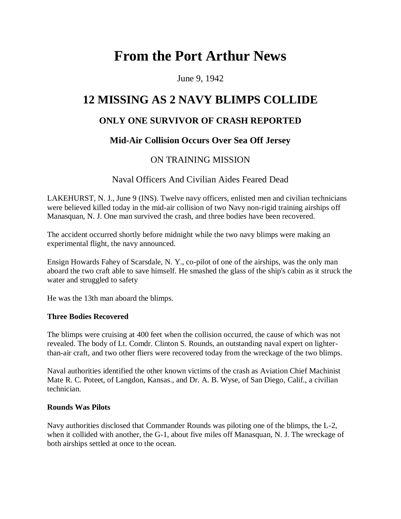# **From the Port Arthur News**

June 9, 1942

# **12 MISSING AS 2 NAVY BLIMPS COLLIDE**

# **ONLY ONE SURVIVOR OF CRASH REPORTED**

# **Mid-Air Collision Occurs Over Sea Off Jersey**

## ON TRAINING MISSION

## Naval Officers And Civilian Aides Feared Dead

LAKEHURST, N. J., June 9 (INS). Twelve navy officers, enlisted men and civilian technicians were believed killed today in the mid-air collision of two Navy non-rigid training airships off Manasquan, N. J. One man survived the crash, and three bodies have been recovered.

The accident occurred shortly before midnight while the two navy blimps were making an experimental flight, the navy announced.

Ensign Howards Fahey of Scarsdale, N. Y., co-pilot of one of the airships, was the only man aboard the two craft able to save himself. He smashed the glass of the ship's cabin as it struck the water and struggled to safety

He was the 13th man aboard the blimps.

#### **Three Bodies Recovered**

The blimps were cruising at 400 feet when the collision occurred, the cause of which was not revealed. The body of Lt. Comdr. Clinton S. Rounds, an outstanding naval expert on lighterthan-air craft, and two other fliers were recovered today from the wreckage of the two blimps.

Naval authorities identified the other known victims of the crash as Aviation Chief Machinist Mate R. C. Poteet, of Langdon, Kansas., and Dr. A. B. Wyse, of San Diego, Calif., a civilian technician.

#### **Rounds Was Pilots**

Navy authorities disclosed that Commander Rounds was piloting one of the blimps, the L-2, when it collided with another, the G-1, about five miles off Manasquan, N. J. The wreckage of both airships settled at once to the ocean.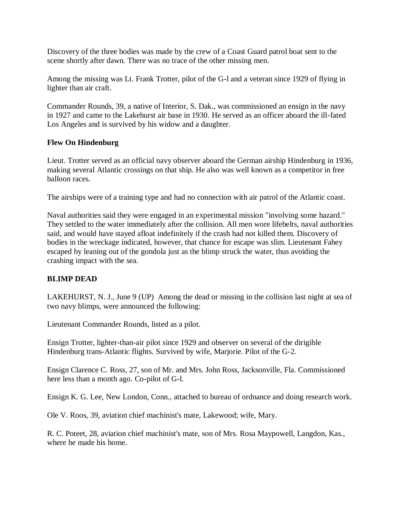Discovery of the three bodies was made by the crew of a Coast Guard patrol boat sent to the scene shortly after dawn. There was no trace of the other missing men.

Among the missing was Lt. Frank Trotter, pilot of the G-l and a veteran since 1929 of flying in lighter than air craft.

Commander Rounds, 39, a native of Interior, S. Dak., was commissioned an ensign in the navy in 1927 and came to the Lakehurst air base in 1930. He served as an officer aboard the ill-fated Los Angeles and is survived by his widow and a daughter.

#### **Flew On Hindenburg**

Lieut. Trotter served as an official navy observer aboard the German airship Hindenburg in 1936, making several Atlantic crossings on that ship. He also was well known as a competitor in free balloon races.

The airships were of a training type and had no connection with air patrol of the Atlantic coast.

Naval authorities said they were engaged in an experimental mission "involving some hazard." They settled to the water immediately after the collision. All men wore lifebelts, naval authorities said, and would have stayed afloat indefinitely if the crash had not killed them. Discovery of bodies in the wreckage indicated, however, that chance for escape was slim. Lieutenant Fahey escaped by leaning out of the gondola just as the blimp struck the water, thus avoiding the crashing impact with the sea.

#### **BLIMP DEAD**

LAKEHURST, N. J., June 9 (UP) Among the dead or missing in the collision last night at sea of two navy blimps, were announced the following:

Lieutenant Commander Rounds, listed as a pilot.

Ensign Trotter, lighter-than-air pilot since 1929 and observer on several of the dirigible Hindenburg trans-Atlantic flights. Survived by wife, Marjorie. Pilot of the G-2.

Ensign Clarence C. Ross, 27, son of Mr. and Mrs. John Ross, Jacksonville, Fla. Commissioned here less than a month ago. Co-pilot of G-l.

Ensign K. G. Lee, New London, Conn., attached to bureau of ordnance and doing research work.

Ole V. Roos, 39, aviation chief machinist's mate, Lakewood; wife, Mary.

R. C. Poteet, 28, aviation chief machinist's mate, son of Mrs. Rosa Maypowell, Langdon, Kas., where he made his home.